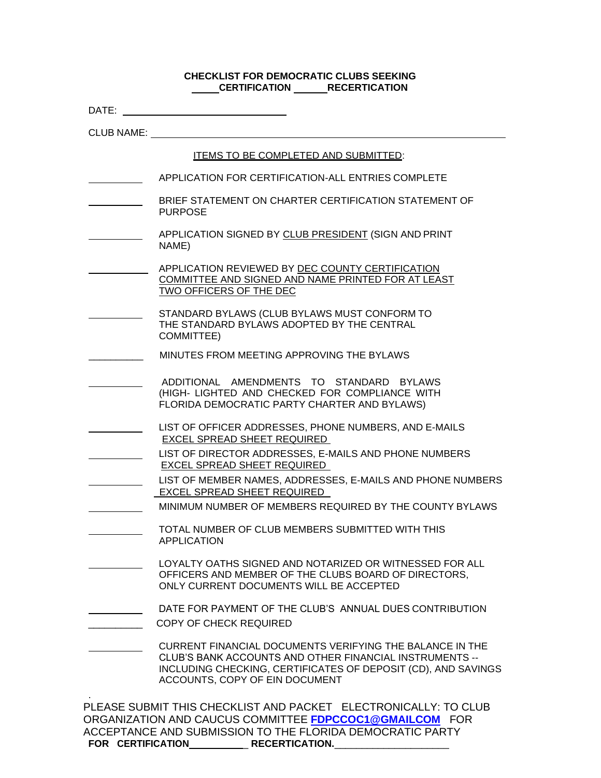# **CHECKLIST FOR DEMOCRATIC CLUBS SEEKING CERTIFICATION** RECERTICATION

| DATE:             |                                                                                                                                                                                                                        |
|-------------------|------------------------------------------------------------------------------------------------------------------------------------------------------------------------------------------------------------------------|
| <b>CLUB NAME:</b> |                                                                                                                                                                                                                        |
|                   | ITEMS TO BE COMPLETED AND SUBMITTED:                                                                                                                                                                                   |
|                   | APPLICATION FOR CERTIFICATION-ALL ENTRIES COMPLETE                                                                                                                                                                     |
|                   | BRIEF STATEMENT ON CHARTER CERTIFICATION STATEMENT OF<br><b>PURPOSE</b>                                                                                                                                                |
|                   | APPLICATION SIGNED BY CLUB PRESIDENT (SIGN AND PRINT<br>NAME)                                                                                                                                                          |
|                   | APPLICATION REVIEWED BY DEC COUNTY CERTIFICATION<br>COMMITTEE AND SIGNED AND NAME PRINTED FOR AT LEAST<br>TWO OFFICERS OF THE DEC                                                                                      |
|                   | STANDARD BYLAWS (CLUB BYLAWS MUST CONFORM TO<br>THE STANDARD BYLAWS ADOPTED BY THE CENTRAL<br><b>COMMITTEE)</b>                                                                                                        |
|                   | MINUTES FROM MEETING APPROVING THE BYLAWS                                                                                                                                                                              |
|                   | ADDITIONAL AMENDMENTS TO STANDARD BYLAWS<br>(HIGH- LIGHTED AND CHECKED FOR COMPLIANCE WITH<br>FLORIDA DEMOCRATIC PARTY CHARTER AND BYLAWS)                                                                             |
|                   | LIST OF OFFICER ADDRESSES, PHONE NUMBERS, AND E-MAILS<br>EXCEL SPREAD SHEET REQUIRED                                                                                                                                   |
|                   | LIST OF DIRECTOR ADDRESSES, E-MAILS AND PHONE NUMBERS<br>EXCEL SPREAD SHEET REQUIRED                                                                                                                                   |
|                   | LIST OF MEMBER NAMES, ADDRESSES, E-MAILS AND PHONE NUMBERS<br>EXCEL SPREAD SHEET REQUIRED                                                                                                                              |
|                   | MINIMUM NUMBER OF MEMBERS REQUIRED BY THE COUNTY BYLAWS                                                                                                                                                                |
|                   | TOTAL NUMBER OF CLUB MEMBERS SUBMITTED WITH THIS<br><b>APPLICATION</b>                                                                                                                                                 |
|                   | LOYALTY OATHS SIGNED AND NOTARIZED OR WITNESSED FOR ALL<br>OFFICERS AND MEMBER OF THE CLUBS BOARD OF DIRECTORS,<br>ONLY CURRENT DOCUMENTS WILL BE ACCEPTED                                                             |
|                   | DATE FOR PAYMENT OF THE CLUB'S ANNUAL DUES CONTRIBUTION                                                                                                                                                                |
|                   | <b>COPY OF CHECK REQUIRED</b>                                                                                                                                                                                          |
|                   | CURRENT FINANCIAL DOCUMENTS VERIFYING THE BALANCE IN THE<br>CLUB'S BANK ACCOUNTS AND OTHER FINANCIAL INSTRUMENTS --<br>INCLUDING CHECKING, CERTIFICATES OF DEPOSIT (CD), AND SAVINGS<br>ACCOUNTS, COPY OF EIN DOCUMENT |
| FOR CERTIFICATION | PLEASE SUBMIT THIS CHECKLIST AND PACKET ELECTRONICALLY: TO CLUB<br>ORGANIZATION AND CAUCUS COMMITTEE FDPCCOC1@GMAILCOM FOR<br>ACCEPTANCE AND SUBMISSION TO THE FLORIDA DEMOCRATIC PARTY<br><b>RECERTICATION.</b>       |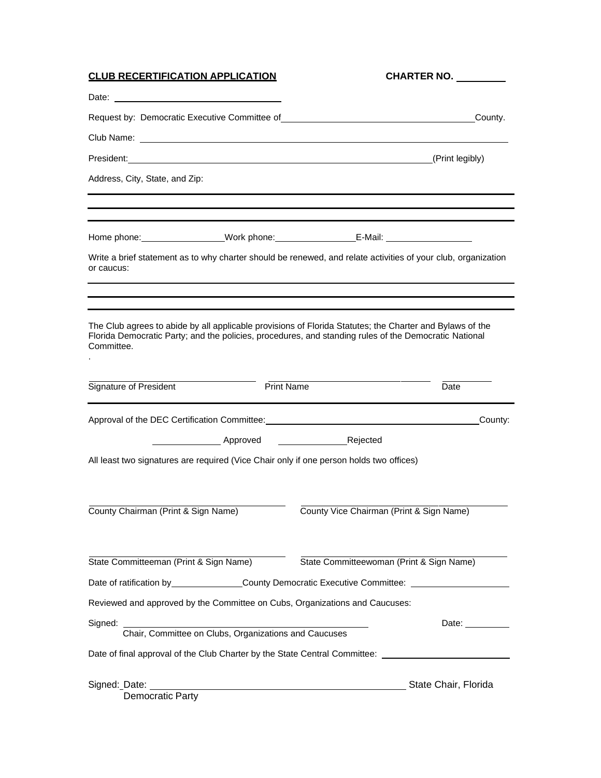| <b>CLUB RECERTIFICATION APPLICATION</b>                                                 | <b>CHARTER NO.</b>                                                                                                                                                                                                |
|-----------------------------------------------------------------------------------------|-------------------------------------------------------------------------------------------------------------------------------------------------------------------------------------------------------------------|
|                                                                                         |                                                                                                                                                                                                                   |
| Request by: Democratic Executive Committee of                                           | County.<br><u> 1980 - Johann Stein, fransk kampbeskip (d. 1980)</u>                                                                                                                                               |
|                                                                                         |                                                                                                                                                                                                                   |
|                                                                                         | President: (Print legibly)                                                                                                                                                                                        |
| Address, City, State, and Zip:                                                          |                                                                                                                                                                                                                   |
|                                                                                         | Home phone: ______________________Work phone: ___________________________________                                                                                                                                 |
| or caucus:                                                                              | Write a brief statement as to why charter should be renewed, and relate activities of your club, organization                                                                                                     |
| Committee.                                                                              | The Club agrees to abide by all applicable provisions of Florida Statutes; the Charter and Bylaws of the<br>Florida Democratic Party; and the policies, procedures, and standing rules of the Democratic National |
| Signature of President                                                                  | <b>Print Name</b><br>Date                                                                                                                                                                                         |
|                                                                                         | County:                                                                                                                                                                                                           |
|                                                                                         |                                                                                                                                                                                                                   |
| All least two signatures are required (Vice Chair only if one person holds two offices) |                                                                                                                                                                                                                   |
| County Chairman (Print & Sign Name)                                                     | County Vice Chairman (Print & Sign Name)                                                                                                                                                                          |
| State Committeeman (Print & Sign Name)                                                  | State Committeewoman (Print & Sign Name)                                                                                                                                                                          |
|                                                                                         | Date of ratification by _______________County Democratic Executive Committee: _____________________                                                                                                               |
| Reviewed and approved by the Committee on Cubs, Organizations and Caucuses:             |                                                                                                                                                                                                                   |
| Signed:<br>Chair, Committee on Clubs, Organizations and Caucuses                        | Date:                                                                                                                                                                                                             |
| Date of final approval of the Club Charter by the State Central Committee:              |                                                                                                                                                                                                                   |
| Democratic Party                                                                        |                                                                                                                                                                                                                   |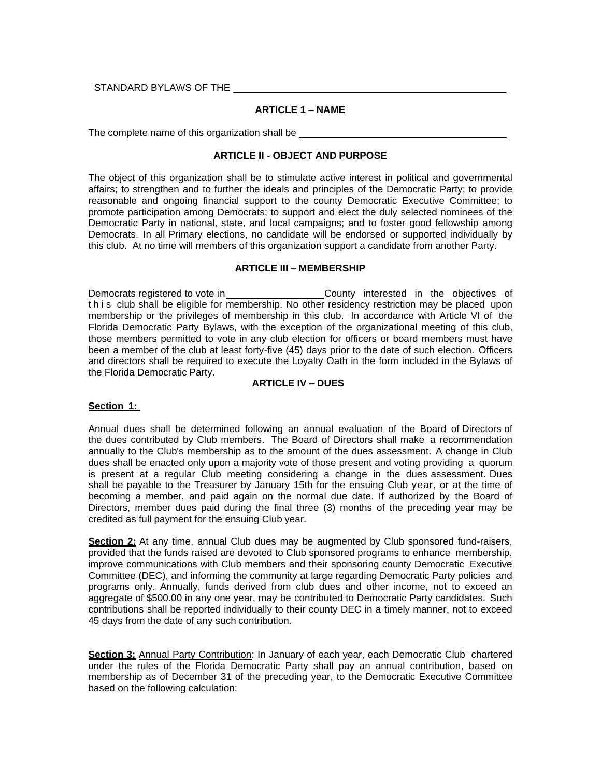STANDARD BYLAWS OF THE

## **ARTICLE 1 – NAME**

The complete name of this organization shall be

#### **ARTICLE II - OBJECT AND PURPOSE**

The object of this organization shall be to stimulate active interest in political and governmental affairs; to strengthen and to further the ideals and principles of the Democratic Party; to provide reasonable and ongoing financial support to the county Democratic Executive Committee; to promote participation among Democrats; to support and elect the duly selected nominees of the Democratic Party in national, state, and local campaigns; and to foster good fellowship among Democrats. In all Primary elections, no candidate will be endorsed or supported individually by this club. At no time will members of this organization support a candidate from another Party.

#### **ARTICLE III – MEMBERSHIP**

Democrats registered to vote in County interested in the objectives of this club shall be eligible for membership. No other residency restriction may be placed upon membership or the privileges of membership in this club. In accordance with Article VI of the Florida Democratic Party Bylaws, with the exception of the organizational meeting of this club, those members permitted to vote in any club election for officers or board members must have been a member of the club at least forty-five (45) days prior to the date of such election. Officers and directors shall be required to execute the Loyalty Oath in the form included in the Bylaws of the Florida Democratic Party.

#### **ARTICLE IV – DUES**

#### **Section 1:**

Annual dues shall be determined following an annual evaluation of the Board of Directors of the dues contributed by Club members. The Board of Directors shall make a recommendation annually to the Club's membership as to the amount of the dues assessment. A change in Club dues shall be enacted only upon a majority vote of those present and voting providing a quorum is present at a regular Club meeting considering a change in the dues assessment. Dues shall be payable to the Treasurer by January 15th for the ensuing Club year, or at the time of becoming a member, and paid again on the normal due date. If authorized by the Board of Directors, member dues paid during the final three (3) months of the preceding year may be credited as full payment for the ensuing Club year.

**Section 2:** At any time, annual Club dues may be augmented by Club sponsored fund-raisers, provided that the funds raised are devoted to Club sponsored programs to enhance membership, improve communications with Club members and their sponsoring county Democratic Executive Committee (DEC), and informing the community at large regarding Democratic Party policies and programs only. Annually, funds derived from club dues and other income, not to exceed an aggregate of \$500.00 in any one year, may be contributed to Democratic Party candidates. Such contributions shall be reported individually to their county DEC in a timely manner, not to exceed 45 days from the date of any such contribution.

Section 3: Annual Party Contribution: In January of each year, each Democratic Club chartered under the rules of the Florida Democratic Party shall pay an annual contribution, based on membership as of December 31 of the preceding year, to the Democratic Executive Committee based on the following calculation: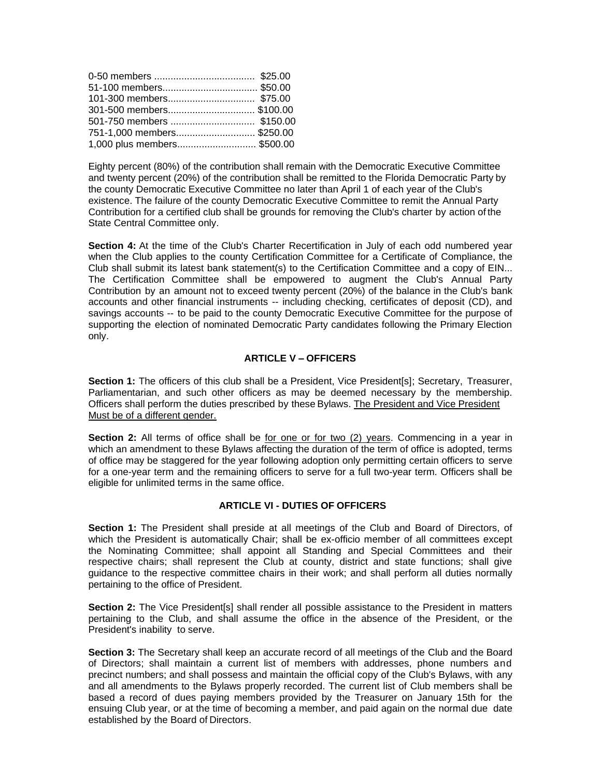| 301-500 members\$100.00     |  |
|-----------------------------|--|
| 501-750 members  \$150.00   |  |
| 751-1,000 members\$250.00   |  |
| 1,000 plus members \$500.00 |  |

Eighty percent (80%) of the contribution shall remain with the Democratic Executive Committee and twenty percent (20%) of the contribution shall be remitted to the Florida Democratic Party by the county Democratic Executive Committee no later than April 1 of each year of the Club's existence. The failure of the county Democratic Executive Committee to remit the Annual Party Contribution for a certified club shall be grounds for removing the Club's charter by action of the State Central Committee only.

**Section 4:** At the time of the Club's Charter Recertification in July of each odd numbered year when the Club applies to the county Certification Committee for a Certificate of Compliance, the Club shall submit its latest bank statement(s) to the Certification Committee and a copy of EIN... The Certification Committee shall be empowered to augment the Club's Annual Party Contribution by an amount not to exceed twenty percent (20%) of the balance in the Club's bank accounts and other financial instruments -- including checking, certificates of deposit (CD), and savings accounts -- to be paid to the county Democratic Executive Committee for the purpose of supporting the election of nominated Democratic Party candidates following the Primary Election only.

## **ARTICLE V – OFFICERS**

Section 1: The officers of this club shall be a President, Vice President[s]; Secretary, Treasurer, Parliamentarian, and such other officers as may be deemed necessary by the membership. Officers shall perform the duties prescribed by these Bylaws. The President and Vice President Must be of a different gender.

**Section 2:** All terms of office shall be for one or for two (2) years. Commencing in a year in which an amendment to these Bylaws affecting the duration of the term of office is adopted, terms of office may be staggered for the year following adoption only permitting certain officers to serve for a one-year term and the remaining officers to serve for a full two-year term. Officers shall be eligible for unlimited terms in the same office.

## **ARTICLE VI - DUTIES OF OFFICERS**

**Section 1:** The President shall preside at all meetings of the Club and Board of Directors, of which the President is automatically Chair; shall be ex-officio member of all committees except the Nominating Committee; shall appoint all Standing and Special Committees and their respective chairs; shall represent the Club at county, district and state functions; shall give guidance to the respective committee chairs in their work; and shall perform all duties normally pertaining to the office of President.

**Section 2:** The Vice President[s] shall render all possible assistance to the President in matters pertaining to the Club, and shall assume the office in the absence of the President, or the President's inability to serve.

**Section 3:** The Secretary shall keep an accurate record of all meetings of the Club and the Board of Directors; shall maintain a current list of members with addresses, phone numbers and precinct numbers; and shall possess and maintain the official copy of the Club's Bylaws, with any and all amendments to the Bylaws properly recorded. The current list of Club members shall be based a record of dues paying members provided by the Treasurer on January 15th for the ensuing Club year, or at the time of becoming a member, and paid again on the normal due date established by the Board of Directors.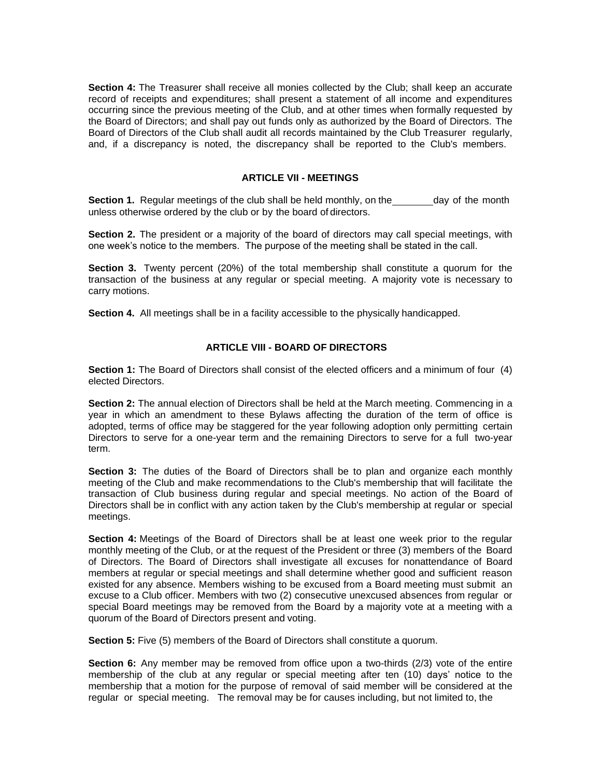**Section 4:** The Treasurer shall receive all monies collected by the Club; shall keep an accurate record of receipts and expenditures; shall present a statement of all income and expenditures occurring since the previous meeting of the Club, and at other times when formally requested by the Board of Directors; and shall pay out funds only as authorized by the Board of Directors. The Board of Directors of the Club shall audit all records maintained by the Club Treasurer regularly, and, if a discrepancy is noted, the discrepancy shall be reported to the Club's members.

## **ARTICLE VII - MEETINGS**

**Section 1.** Regular meetings of the club shall be held monthly, on the day of the month unless otherwise ordered by the club or by the board of directors.

**Section 2.** The president or a majority of the board of directors may call special meetings, with one week's notice to the members. The purpose of the meeting shall be stated in the call.

**Section 3.** Twenty percent (20%) of the total membership shall constitute a quorum for the transaction of the business at any regular or special meeting. A majority vote is necessary to carry motions.

**Section 4.** All meetings shall be in a facility accessible to the physically handicapped.

#### **ARTICLE VIII - BOARD OF DIRECTORS**

**Section 1:** The Board of Directors shall consist of the elected officers and a minimum of four (4) elected Directors.

**Section 2:** The annual election of Directors shall be held at the March meeting. Commencing in a year in which an amendment to these Bylaws affecting the duration of the term of office is adopted, terms of office may be staggered for the year following adoption only permitting certain Directors to serve for a one-year term and the remaining Directors to serve for a full two-year term.

**Section 3:** The duties of the Board of Directors shall be to plan and organize each monthly meeting of the Club and make recommendations to the Club's membership that will facilitate the transaction of Club business during regular and special meetings. No action of the Board of Directors shall be in conflict with any action taken by the Club's membership at regular or special meetings.

**Section 4:** Meetings of the Board of Directors shall be at least one week prior to the regular monthly meeting of the Club, or at the request of the President or three (3) members of the Board of Directors. The Board of Directors shall investigate all excuses for nonattendance of Board members at regular or special meetings and shall determine whether good and sufficient reason existed for any absence. Members wishing to be excused from a Board meeting must submit an excuse to a Club officer. Members with two (2) consecutive unexcused absences from regular or special Board meetings may be removed from the Board by a majority vote at a meeting with a quorum of the Board of Directors present and voting.

**Section 5:** Five (5) members of the Board of Directors shall constitute a quorum.

**Section 6:** Any member may be removed from office upon a two-thirds (2/3) vote of the entire membership of the club at any regular or special meeting after ten (10) days' notice to the membership that a motion for the purpose of removal of said member will be considered at the regular or special meeting. The removal may be for causes including, but not limited to, the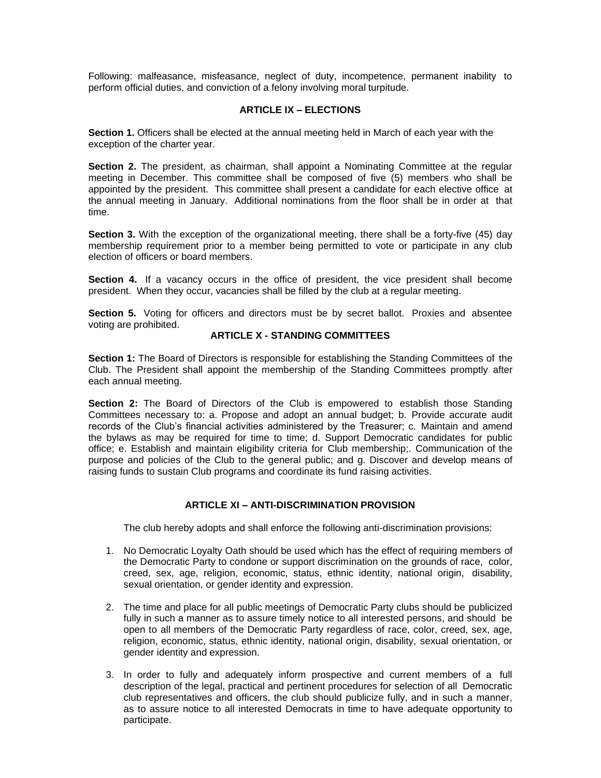Following: malfeasance, misfeasance, neglect of duty, incompetence, permanent inability to perform official duties, and conviction of a felony involving moral turpitude.

## **ARTICLE IX – ELECTIONS**

**Section 1.** Officers shall be elected at the annual meeting held in March of each year with the exception of the charter year.

**Section 2.** The president, as chairman, shall appoint a Nominating Committee at the regular meeting in December. This committee shall be composed of five (5) members who shall be appointed by the president. This committee shall present a candidate for each elective office at the annual meeting in January. Additional nominations from the floor shall be in order at that time.

**Section 3.** With the exception of the organizational meeting, there shall be a forty-five (45) day membership requirement prior to a member being permitted to vote or participate in any club election of officers or board members.

**Section 4.** If a vacancy occurs in the office of president, the vice president shall become president. When they occur, vacancies shall be filled by the club at a regular meeting.

**Section 5.** Voting for officers and directors must be by secret ballot. Proxies and absentee voting are prohibited.

## **ARTICLE X - STANDING COMMITTEES**

**Section 1:** The Board of Directors is responsible for establishing the Standing Committees of the Club. The President shall appoint the membership of the Standing Committees promptly after each annual meeting.

**Section 2:** The Board of Directors of the Club is empowered to establish those Standing Committees necessary to: a. Propose and adopt an annual budget; b. Provide accurate audit records of the Club's financial activities administered by the Treasurer; c. Maintain and amend the bylaws as may be required for time to time; d. Support Democratic candidates for public office; e. Establish and maintain eligibility criteria for Club membership;. Communication of the purpose and policies of the Club to the general public; and g. Discover and develop means of raising funds to sustain Club programs and coordinate its fund raising activities.

## **ARTICLE XI – ANTI-DISCRIMINATION PROVISION**

The club hereby adopts and shall enforce the following anti-discrimination provisions:

- 1. No Democratic Loyalty Oath should be used which has the effect of requiring members of the Democratic Party to condone or support discrimination on the grounds of race, color, creed, sex, age, religion, economic, status, ethnic identity, national origin, disability, sexual orientation, or gender identity and expression.
- 2. The time and place for all public meetings of Democratic Party clubs should be publicized fully in such a manner as to assure timely notice to all interested persons, and should be open to all members of the Democratic Party regardless of race, color, creed, sex, age, religion, economic, status, ethnic identity, national origin, disability, sexual orientation, or gender identity and expression.
- 3. In order to fully and adequately inform prospective and current members of a full description of the legal, practical and pertinent procedures for selection of all Democratic club representatives and officers, the club should publicize fully, and in such a manner, as to assure notice to all interested Democrats in time to have adequate opportunity to participate.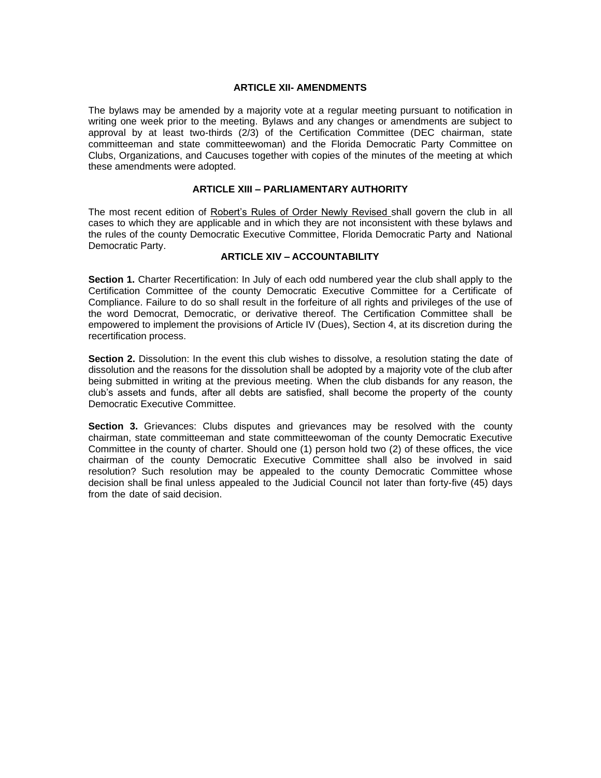#### **ARTICLE XII- AMENDMENTS**

The bylaws may be amended by a majority vote at a regular meeting pursuant to notification in writing one week prior to the meeting. Bylaws and any changes or amendments are subject to approval by at least two-thirds (2/3) of the Certification Committee (DEC chairman, state committeeman and state committeewoman) and the Florida Democratic Party Committee on Clubs, Organizations, and Caucuses together with copies of the minutes of the meeting at which these amendments were adopted.

## **ARTICLE XIII – PARLIAMENTARY AUTHORITY**

The most recent edition of Robert's Rules of Order Newly Revised shall govern the club in all cases to which they are applicable and in which they are not inconsistent with these bylaws and the rules of the county Democratic Executive Committee, Florida Democratic Party and National Democratic Party.

## **ARTICLE XIV – ACCOUNTABILITY**

**Section 1.** Charter Recertification: In July of each odd numbered year the club shall apply to the Certification Committee of the county Democratic Executive Committee for a Certificate of Compliance. Failure to do so shall result in the forfeiture of all rights and privileges of the use of the word Democrat, Democratic, or derivative thereof. The Certification Committee shall be empowered to implement the provisions of Article IV (Dues), Section 4, at its discretion during the recertification process.

**Section 2.** Dissolution: In the event this club wishes to dissolve, a resolution stating the date of dissolution and the reasons for the dissolution shall be adopted by a majority vote of the club after being submitted in writing at the previous meeting. When the club disbands for any reason, the club's assets and funds, after all debts are satisfied, shall become the property of the county Democratic Executive Committee.

**Section 3.** Grievances: Clubs disputes and grievances may be resolved with the county chairman, state committeeman and state committeewoman of the county Democratic Executive Committee in the county of charter. Should one (1) person hold two (2) of these offices, the vice chairman of the county Democratic Executive Committee shall also be involved in said resolution? Such resolution may be appealed to the county Democratic Committee whose decision shall be final unless appealed to the Judicial Council not later than forty-five (45) days from the date of said decision.